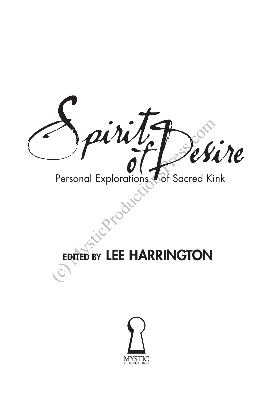

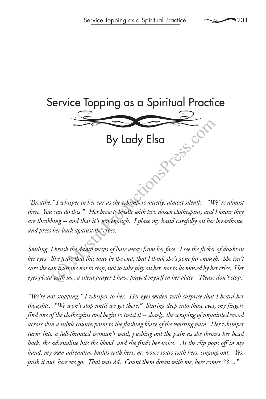

By Lady Elsa i. Comparess.com

*"Breathe," I whisper in her ear as she whimpers quietly, almost silently. "We' re almost there. You can do this." Her breasts bristle with two dozen clothespins, and I know they are throbbing — and that it's not enough. I place my hand carefully on her breastbone, and press her back against the cross.* 

*Smiling, I brush the damp wisps of hair away from her face. I see the flicker of doubt in her eyes. She fears that this may be the end, that I think she's gone far enough. She isn't sure she can trust me not to stop, not to take pity on her, not to be moved by her cries. Her eyes plead with me, a silent prayer I have prayed myself in her place. 'Please don't stop.'*

*"We're not stopping," I whisper to her. Her eyes widen with surprise that I heard her thoughts. "We won't stop until we get there." Staring deep into those eyes, my fingers find one of the clothespins and begin to twist it — slowly, the scraping of unpainted wood across skin a subtle counterpoint to the flashing blaze of the twisting pain. Her whimper turns into a full-throated woman's wail, pushing out the pain as she throws her head back, the adrenaline hits the blood, and she finds her voice. As the clip pops off in my hand, my own adrenaline builds with hers, my voice soars with hers, singing out, "Yes, push it out, here we go. That was 24. Count them down with me, here comes 23…"*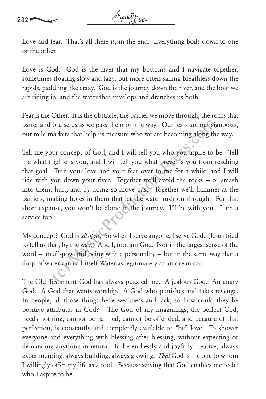Love and fear. That's all there is, in the end. Everything boils down to one or the other.

Love is God. God is the river that my bottoms and I navigate together, sometimes floating slow and lazy, but more often sailing breathless down the rapids, paddling like crazy. God is the journey down the river, and the boat we are riding in, and the water that envelops and drenches us both.

Fear is the Other. It is the obstacle, the barrier we move through, the rocks that batter and bruise us as we pass them on the way. Our fears are our signposts, our mile markers that help us measure who we are becoming along the way.

Tell me your concept of God, and I will tell you who you aspire to be. Tell me what frightens you, and I will tell you what prevents you from reaching that goal. Turn your love and your fear over to me for a while, and I will ride with you down your river. Together we'll avoid the rocks — or smash into them, hurt, and by doing so move past. Together we'll hammer at the barriers, making holes in them that let the water rush on through. For that short expanse, you won't be alone in the journey. I'll be with you. I am a service top. bruise us as we pass them on the way. Our fears are out situal<br>thankers that help us measure who we are becoming along the<br>parkers that help us measure who we are becoming along the<br>parkers you, and I will tell you what p

My concept? God is *all of us*. So when I serve anyone, I serve God. (Jesus tried to tell us that, by the way.) And I, too, am God. Not in the largest sense of the word — an all-powerful being with a personality — but in the same way that a drop of water can call itself Water as legitimately as an ocean can.

The Old Testament God has always puzzled me. A jealous God. An angry God. A God that wants worship. A God who punishes and takes revenge. In people, all those things belie weakness and lack, so how could they be positive attributes in God? The God of my imaginings, the perfect God, needs nothing, cannot be harmed, cannot be offended, and because of that perfection, is constantly and completely available to "be" love. To shower everyone and everything with blessing after blessing, without expecting or demanding anything in return. To be endlessly and joyfully creative, always experimenting, always building, always growing. *That* God is the one to whom I willingly offer my life as a tool. Because serving that God enables me to be who I aspire to be.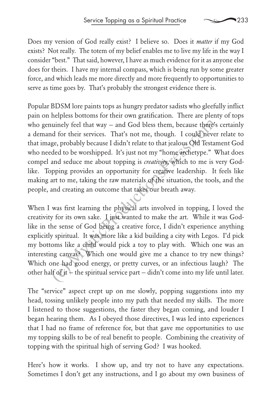Does my version of God really exist? I believe so. Does it *matter* if my God exists? Not really. The totem of my belief enables me to live my life in the way I consider "best." That said, however, I have as much evidence for it as anyone else does for theirs. I have my internal compass, which is being run by some greater force, and which leads me more directly and more frequently to opportunities to serve as time goes by. That's probably the strongest evidence there is.

Popular BDSM lore paints tops as hungry predator sadists who gleefully inflict pain on helpless bottoms for their own gratification. There are plenty of tops who genuinely feel that way — and God bless them, because there's certainly a demand for their services. That's not me, though. I could never relate to that image, probably because I didn't relate to that jealous Old Testament God who needed to be worshipped. It's just not my "home archetype." What does compel and seduce me about topping is *creativity*, which to me is very Godlike. Topping provides an opportunity for creative leadership. It feels like making art to me, taking the raw materials of the situation, the tools, and the people, and creating an outcome that takes our breath away. nuinely feel that way – and God bless them, because there<sup>3</sup>:<br>
and for their services. That's not me, though. I could neve<br>
ge, probably because I didn't relate to that jealous Old Testa:<br>
ded to be worshipped. It's just n

When I was first learning the physical arts involved in topping, I loved the creativity for its own sake. I just wanted to make the art. While it was Godlike in the sense of God being a creative force, I didn't experience anything explicitly spiritual. It was more like a kid building a city with Legos. I'd pick my bottoms like a child would pick a toy to play with. Which one was an interesting canvas? Which one would give me a chance to try new things? Which one had good energy, or pretty curves, or an infectious laugh? The other half of it  $+$  the spiritual service part  $-$  didn't come into my life until later.

The "service" aspect crept up on me slowly, popping suggestions into my head, tossing unlikely people into my path that needed my skills. The more I listened to those suggestions, the faster they began coming, and louder I began hearing them. As I obeyed those directives, I was led into experiences that I had no frame of reference for, but that gave me opportunities to use my topping skills to be of real benefit to people. Combining the creativity of topping with the spiritual high of serving God? I was hooked.

Here's how it works. I show up, and try not to have any expectations. Sometimes I don't get any instructions, and I go about my own business of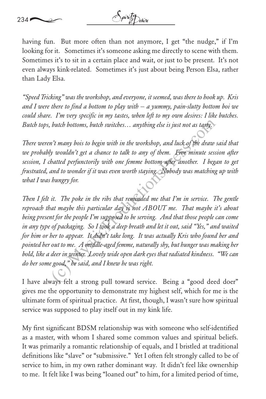

having fun. But more often than not anymore, I get "the nudge," if I'm looking for it. Sometimes it's someone asking me directly to scene with them. Sometimes it's to sit in a certain place and wait, or just to be present. It's not even always kink-related. Sometimes it's just about being Person Elsa, rather than Lady Elsa.

*"Speed Tricking" was the workshop, and everyone, it seemed, was there to hook up. Kris and I were there to find a bottom to play with — a yummy, pain-slutty bottom boi we could share. I'm very specific in my tastes, when left to my own desires: I like butches. Butch tops, butch bottoms, butch switches… anything else is just not as tasty.* 

*There weren't many bois to begin with in the workshop, and luck of the draw said that*  we probably wouldn't get a chance to talk to any of them. Five minute session after *session, I chatted perfunctorily with one femme bottom after another. I began to get frustrated, and to wonder if it was even worth staying. Nobody was matching up with what I was hungry for.*

Then I felt it. The poke in the ribs that reminded me that I'm in service. The gentle *reproach that maybe this particular day is not ABOUT me. That maybe it's about being present for the people I'm supposed to be serving. And that those people can come in any type of packaging. So I took a deep breath and let it out, said "Yes," and waited for him or her to appear. It didn't take long. It was actually Kris who found her and pointed her out to me. A middle-aged femme, naturally shy, but hunger was making her bold, like a deer in winter. Lovely wide open dark eyes that radiated kindness. "We can do her some good," he said, and I knew he was right.* butch bottoms, butch switches... anything else is just not as tasty,<br>
it many bois to begin with in the workshop, and luck of the draw<br>
by wouldn't get a chance to talk to any of them. Five minute sessented perfunctorily

I have always felt a strong pull toward service. Being a "good deed doer" gives me the opportunity to demonstrate my highest self, which for me is the ultimate form of spiritual practice. At first, though, I wasn't sure how spiritual service was supposed to play itself out in my kink life.

My first significant BDSM relationship was with someone who self-identified as a master, with whom I shared some common values and spiritual beliefs. It was primarily a romantic relationship of equals, and I bristled at traditional definitions like "slave" or "submissive." Yet I often felt strongly called to be of service to him, in my own rather dominant way. It didn't feel like ownership to me. It felt like I was being "loaned out" to him, for a limited period of time,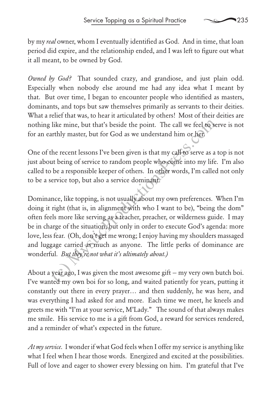by my *real* owner, whom I eventually identified as God. And in time, that loan period did expire, and the relationship ended, and I was left to figure out what it all meant, to be owned by God.

*Owned by God?* That sounded crazy, and grandiose, and just plain odd. Especially when nobody else around me had any idea what I meant by that. But over time, I began to encounter people who identified as masters, dominants, and tops but saw themselves primarily as servants to their deities. What a relief that was, to hear it articulated by others! Most of their deities are nothing like mine, but that's beside the point. The call we feel to serve is not for an earthly master, but for God as we understand him or her.

One of the recent lessons I've been given is that my call to serve as a top is not just about being of service to random people who come into my life. I'm also called to be a responsible keeper of others. In other words, I'm called not only to be a service top, but also a service dominant.

Dominance, like topping, is not usually about my own preferences. When I'm doing it right (that is, in alignment with who I want to be), "being the dom" often feels more like serving as a teacher, preacher, or wilderness guide. I may be in charge of the situation, but only in order to execute God's agenda: more love, less fear. (Oh, don't get me wrong; I enjoy having my shoulders massaged and luggage carried as much as anyone. The little perks of dominance are wonderful*. But they're not what it's ultimately about.)* like mine, but that's beside the point. The call we feel to see arthly master, but for God as we understand him or here the recent lessons I've been given is that my call to serve as a ut being of service to random people

About a year ago, I was given the most awesome gift — my very own butch boi. I've wanted my own boi for so long, and waited patiently for years, putting it constantly out there in every prayer… and then suddenly, he was here, and was everything I had asked for and more. Each time we meet, he kneels and greets me with "I'm at your service, M'Lady." The sound of that always makes me smile. His service to me is a gift from God, a reward for services rendered, and a reminder of what's expected in the future.

*At my service.* I wonder if what God feels when I offer my service is anything like what I feel when I hear those words. Energized and excited at the possibilities. Full of love and eager to shower every blessing on him. I'm grateful that I've